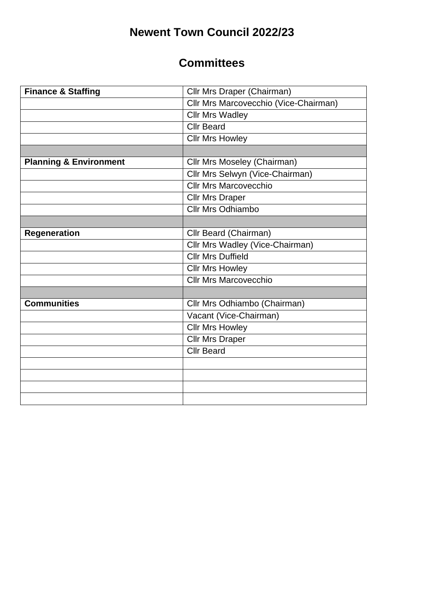# **Newent Town Council 2022/23**

#### **Committees**

| <b>Finance &amp; Staffing</b>     | Cllr Mrs Draper (Chairman)            |
|-----------------------------------|---------------------------------------|
|                                   | Cllr Mrs Marcovecchio (Vice-Chairman) |
|                                   | <b>Cllr Mrs Wadley</b>                |
|                                   | <b>Cllr Beard</b>                     |
|                                   | <b>Cllr Mrs Howley</b>                |
|                                   |                                       |
| <b>Planning &amp; Environment</b> | Cllr Mrs Moseley (Chairman)           |
|                                   | Cllr Mrs Selwyn (Vice-Chairman)       |
|                                   | <b>Cllr Mrs Marcovecchio</b>          |
|                                   | <b>Cllr Mrs Draper</b>                |
|                                   | <b>Cllr Mrs Odhiambo</b>              |
|                                   |                                       |
| <b>Regeneration</b>               | Cllr Beard (Chairman)                 |
|                                   | Cllr Mrs Wadley (Vice-Chairman)       |
|                                   | <b>Cllr Mrs Duffield</b>              |
|                                   | <b>Cllr Mrs Howley</b>                |
|                                   | <b>Cllr Mrs Marcovecchio</b>          |
|                                   |                                       |
| <b>Communities</b>                | Cllr Mrs Odhiambo (Chairman)          |
|                                   | Vacant (Vice-Chairman)                |
|                                   | <b>Cllr Mrs Howley</b>                |
|                                   | <b>Cllr Mrs Draper</b>                |
|                                   | <b>Cllr Beard</b>                     |
|                                   |                                       |
|                                   |                                       |
|                                   |                                       |
|                                   |                                       |